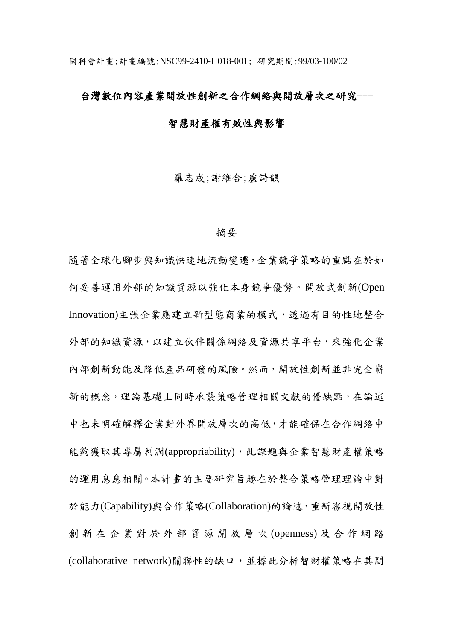## 台灣數位內容產業開放性創新之合作網絡與開放層次之研究---

# 智慧財產權有效性與影響

羅志成;謝維合;盧詩韻

#### 摘要

隨著全球化腳步與知識快速地流動變遷,企業競爭策略的重點在於如 何妥善運用外部的知識資源以強化本身競爭優勢。開放式創新(Open Innovation)主張企業應建立新型態商業的模式,透過有目的性地整合 外部的知識資源,以建立伙伴關係網絡及資源共享平台,來強化企業 內部創新動能及降低產品研發的風險。然而,開放性創新並非完全嶄 新的概念,理論基礎上同時承襲策略管理相關文獻的優缺點,在論述 中也未明確解釋企業對外界開放層次的高低,才能確保在合作網絡中 能夠獲取其專屬利潤(appropriability), 此課題與企業智慧財產權策略 的運用息息相關。本計畫的主要研究旨趣在於整合策略管理理論中對 於能力(Capability)與合作策略(Collaboration)的論述,重新審視開放性 創 新 在 企 業 對 於 外 部 資 源 開 放 層 次 (openness) 及合作網路 (collaborative network)關聯性的缺口,並據此分析智財權策略在其間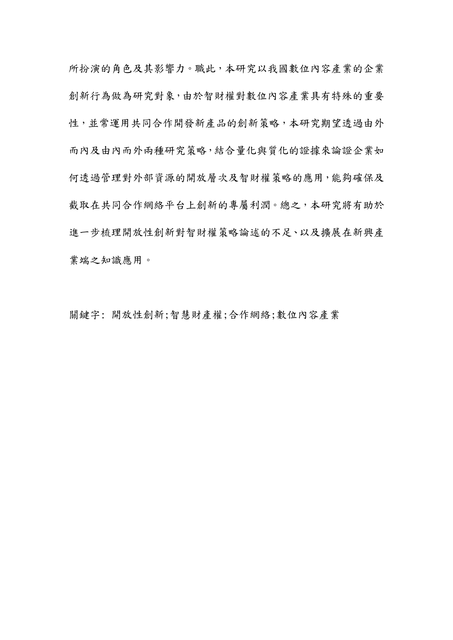所扮演的角色及其影響力。職此,本研究以我國數位內容產業的企業 創新行為做為研究對象,由於智財權對數位內容產業具有特殊的重要 性,並常運用共同合作開發新產品的創新策略,本研究期望透過由外 而內及由內而外兩種研究策略,結合量化與質化的證據來論證企業如 何透過管理對外部資源的開放層次及智財權策略的應用,能夠確保及 截取在共同合作網絡平台上創新的專屬利潤。總之,本研究將有助於 進一步梳理開放性創新對智財權策略論述的不足、以及擴展在新興產 業端之知識應用。

關鍵字: 開放性創新;智慧財產權;合作網絡;數位內容產業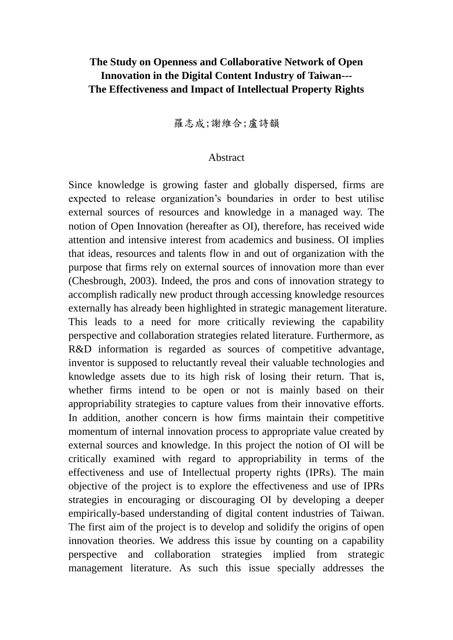# **The Study on Openness and Collaborative Network of Open Innovation in the Digital Content Industry of Taiwan--- The Effectiveness and Impact of Intellectual Property Rights**

羅志成;謝維合;盧詩韻

## Abstract

Since knowledge is growing faster and globally dispersed, firms are expected to release organization's boundaries in order to best utilise external sources of resources and knowledge in a managed way. The notion of Open Innovation (hereafter as OI), therefore, has received wide attention and intensive interest from academics and business. OI implies that ideas, resources and talents flow in and out of organization with the purpose that firms rely on external sources of innovation more than ever (Chesbrough, 2003). Indeed, the pros and cons of innovation strategy to accomplish radically new product through accessing knowledge resources externally has already been highlighted in strategic management literature. This leads to a need for more critically reviewing the capability perspective and collaboration strategies related literature. Furthermore, as R&D information is regarded as sources of competitive advantage, inventor is supposed to reluctantly reveal their valuable technologies and knowledge assets due to its high risk of losing their return. That is, whether firms intend to be open or not is mainly based on their appropriability strategies to capture values from their innovative efforts. In addition, another concern is how firms maintain their competitive momentum of internal innovation process to appropriate value created by external sources and knowledge. In this project the notion of OI will be critically examined with regard to appropriability in terms of the effectiveness and use of Intellectual property rights (IPRs). The main objective of the project is to explore the effectiveness and use of IPRs strategies in encouraging or discouraging OI by developing a deeper empirically-based understanding of digital content industries of Taiwan. The first aim of the project is to develop and solidify the origins of open innovation theories. We address this issue by counting on a capability perspective and collaboration strategies implied from strategic management literature. As such this issue specially addresses the